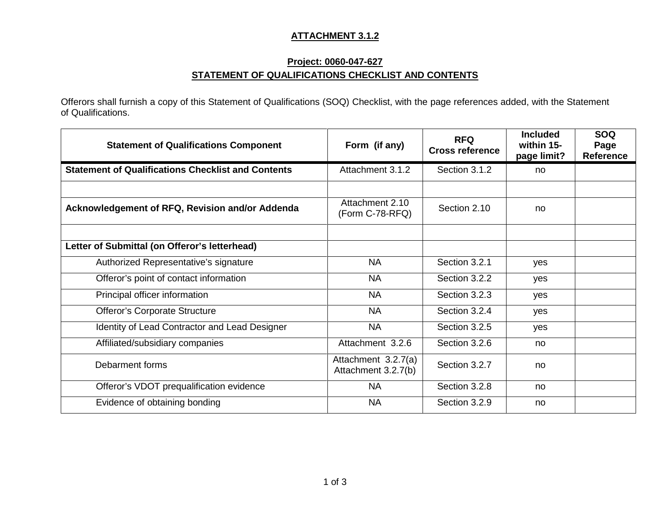#### **ATTACHMENT 3.1.2**

#### **Project: 0060-047-627 STATEMENT OF QUALIFICATIONS CHECKLIST AND CONTENTS**

Offerors shall furnish a copy of this Statement of Qualifications (SOQ) Checklist, with the page references added, with the Statement of Qualifications.

| <b>Statement of Qualifications Component</b>              | Form (if any)                              | <b>RFQ</b><br><b>Cross reference</b> | <b>Included</b><br>within 15-<br>page limit? | <b>SOQ</b><br>Page<br><b>Reference</b> |
|-----------------------------------------------------------|--------------------------------------------|--------------------------------------|----------------------------------------------|----------------------------------------|
| <b>Statement of Qualifications Checklist and Contents</b> | Attachment 3.1.2                           | Section 3.1.2                        | no                                           |                                        |
|                                                           |                                            |                                      |                                              |                                        |
| Acknowledgement of RFQ, Revision and/or Addenda           | Attachment 2.10<br>(Form C-78-RFQ)         | Section 2.10                         | no                                           |                                        |
|                                                           |                                            |                                      |                                              |                                        |
| Letter of Submittal (on Offeror's letterhead)             |                                            |                                      |                                              |                                        |
| Authorized Representative's signature                     | <b>NA</b>                                  | Section 3.2.1                        | yes                                          |                                        |
| Offeror's point of contact information                    | <b>NA</b>                                  | Section 3.2.2                        | yes                                          |                                        |
| Principal officer information                             | <b>NA</b>                                  | Section 3.2.3                        | yes                                          |                                        |
| Offeror's Corporate Structure                             | <b>NA</b>                                  | Section 3.2.4                        | yes                                          |                                        |
| Identity of Lead Contractor and Lead Designer             | <b>NA</b>                                  | Section 3.2.5                        | yes                                          |                                        |
| Affiliated/subsidiary companies                           | Attachment 3.2.6                           | Section 3.2.6                        | no                                           |                                        |
| Debarment forms                                           | Attachment 3.2.7(a)<br>Attachment 3.2.7(b) | Section 3.2.7                        | no                                           |                                        |
| Offeror's VDOT prequalification evidence                  | <b>NA</b>                                  | Section 3.2.8                        | no                                           |                                        |
| Evidence of obtaining bonding                             | <b>NA</b>                                  | Section 3.2.9                        | no                                           |                                        |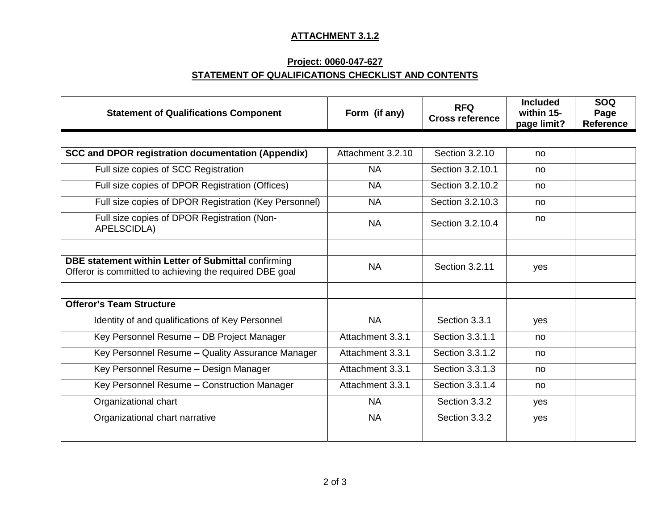# **ATTACHMENT 3.1.2**

# **Project: 0060-047-627 STATEMENT OF QUALIFICATIONS CHECKLIST AND CONTENTS**

| <b>Statement of Qualifications Component</b>                                                                   | Form (if any)     | <b>RFQ</b><br><b>Cross reference</b> | <b>Included</b><br>within 15-<br>page limit? | <b>SOQ</b><br>Page<br><b>Reference</b> |
|----------------------------------------------------------------------------------------------------------------|-------------------|--------------------------------------|----------------------------------------------|----------------------------------------|
|                                                                                                                |                   |                                      |                                              |                                        |
| <b>SCC and DPOR registration documentation (Appendix)</b>                                                      | Attachment 3.2.10 | Section 3.2.10                       | no                                           |                                        |
| Full size copies of SCC Registration                                                                           | <b>NA</b>         | Section 3.2.10.1                     | no                                           |                                        |
| Full size copies of DPOR Registration (Offices)                                                                | <b>NA</b>         | Section 3.2.10.2                     | no                                           |                                        |
| Full size copies of DPOR Registration (Key Personnel)                                                          | <b>NA</b>         | Section 3.2.10.3                     | no                                           |                                        |
| Full size copies of DPOR Registration (Non-<br>APELSCIDLA)                                                     | <b>NA</b>         | Section 3.2.10.4                     | no                                           |                                        |
|                                                                                                                |                   |                                      |                                              |                                        |
| DBE statement within Letter of Submittal confirming<br>Offeror is committed to achieving the required DBE goal | <b>NA</b>         | Section 3.2.11                       | yes                                          |                                        |
|                                                                                                                |                   |                                      |                                              |                                        |
| <b>Offeror's Team Structure</b>                                                                                |                   |                                      |                                              |                                        |
| Identity of and qualifications of Key Personnel                                                                | <b>NA</b>         | Section 3.3.1                        | yes                                          |                                        |
| Key Personnel Resume - DB Project Manager                                                                      | Attachment 3.3.1  | Section 3.3.1.1                      | no                                           |                                        |
| Key Personnel Resume - Quality Assurance Manager                                                               | Attachment 3.3.1  | Section 3.3.1.2                      | no                                           |                                        |
| Key Personnel Resume - Design Manager                                                                          | Attachment 3.3.1  | Section 3.3.1.3                      | no                                           |                                        |
| Key Personnel Resume - Construction Manager                                                                    | Attachment 3.3.1  | Section 3.3.1.4                      | no                                           |                                        |
| Organizational chart                                                                                           | <b>NA</b>         | Section 3.3.2                        | yes                                          |                                        |
| Organizational chart narrative                                                                                 | <b>NA</b>         | Section 3.3.2                        | yes                                          |                                        |
|                                                                                                                |                   |                                      |                                              |                                        |